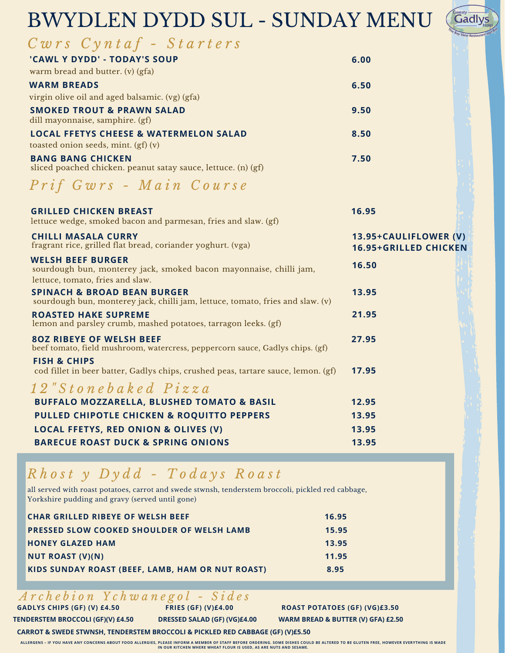# BWYDLEN DYDD SUL - SUNDAY MENU

| westy |                                     |       |
|-------|-------------------------------------|-------|
|       |                                     |       |
|       |                                     | Hotel |
|       | <sup>e</sup> Bay View Restaurant an |       |

| Cwrs Cyntaf - Starters                                                                                                                      |                                                       |
|---------------------------------------------------------------------------------------------------------------------------------------------|-------------------------------------------------------|
| 'CAWL Y DYDD' - TODAY'S SOUP                                                                                                                | 6.00                                                  |
| warm bread and butter. (v) (gfa)                                                                                                            |                                                       |
| <b>WARM BREADS</b>                                                                                                                          | 6.50                                                  |
| virgin olive oil and aged balsamic. (vg) (gfa)                                                                                              |                                                       |
| <b>SMOKED TROUT &amp; PRAWN SALAD</b><br>dill mayonnaise, samphire. (gf)                                                                    | 9.50                                                  |
| <b>LOCAL FFETYS CHEESE &amp; WATERMELON SALAD</b><br>toasted onion seeds, mint. (gf) (v)                                                    | 8.50                                                  |
| <b>BANG BANG CHICKEN</b><br>sliced poached chicken. peanut satay sauce, lettuce. (n) (gf)                                                   | 7.50                                                  |
| Prif Gwrs - Main Course                                                                                                                     |                                                       |
| <b>GRILLED CHICKEN BREAST</b><br>lettuce wedge, smoked bacon and parmesan, fries and slaw. (gf)                                             | 16.95                                                 |
| <b>CHILLI MASALA CURRY</b><br>fragrant rice, grilled flat bread, coriander yoghurt. (vga)                                                   | 13.95+CAULIFLOWER (V)<br><b>16.95+GRILLED CHICKEN</b> |
| <b>WELSH BEEF BURGER</b><br>sourdough bun, monterey jack, smoked bacon mayonnaise, chilli jam,<br>lettuce, tomato, fries and slaw.          | 16.50                                                 |
| <b>SPINACH &amp; BROAD BEAN BURGER</b><br>sourdough bun, monterey jack, chilli jam, lettuce, tomato, fries and slaw. (v)                    | 13.95                                                 |
| <b>ROASTED HAKE SUPREME</b><br>lemon and parsley crumb, mashed potatoes, tarragon leeks. (gf)                                               | 21.95                                                 |
| <b>80Z RIBEYE OF WELSH BEEF</b><br>beef tomato, field mushroom, watercress, peppercorn sauce, Gadlys chips. (gf)<br><b>FISH &amp; CHIPS</b> | 27.95                                                 |
| cod fillet in beer batter, Gadlys chips, crushed peas, tartare sauce, lemon. (gf)                                                           | 17.95                                                 |
| 12" Stonebaked Pizza                                                                                                                        |                                                       |
| <b>BUFFALO MOZZARELLA, BLUSHED TOMATO &amp; BASIL</b>                                                                                       | 12.95                                                 |
| PULLED CHIPOTLE CHICKEN & ROQUITTO PEPPERS                                                                                                  | 13.95                                                 |
| <b>LOCAL FFETYS, RED ONION &amp; OLIVES (V)</b>                                                                                             | 13.95                                                 |
| <b>BARECUE ROAST DUCK &amp; SPRING ONIONS</b>                                                                                               | 13.95                                                 |

### *R h o s t y D y d d - T o d a y s R o a s t*

all served with roast potatoes, carrot and swede stwnsh, tenderstem broccoli, pickled red cabbage, Yorkshire pudding and gravy (served until gone)

| <b>CHAR GRILLED RIBEYE OF WELSH BEEF</b>         | 16.95 |
|--------------------------------------------------|-------|
| PRESSED SLOW COOKED SHOULDER OF WELSH LAMB       | 15.95 |
| <b>HONEY GLAZED HAM</b>                          | 13.95 |
| NUT ROAST (V)(N)                                 | 11.95 |
| KIDS SUNDAY ROAST (BEEF, LAMB, HAM OR NUT ROAST) | 8.95  |

#### *A r c h e b i o n Y c h w a n e g o l - S i d e s*

**GADLYS CHIPS (GF) (V) £4.50 FRIES (GF) (V)£4.00 ROAST POTATOES (GF) (VG)£3.50 TENDERSTEM BROCCOLI (GF)(V) £4.50 DRESSED SALAD (GF) (VG)£4.00 WARM BREAD & BUTTER (V) GFA) £2.50**

**CARROT & SWEDE STWNSH, TENDERSTEM BROCCOLI & PICKLED RED CABBAGE (GF) (V)£5.50**

ALLERGENS - IF YOU HAVE ANY CONCERNS ABOUT FOOD ALLERGIES, PLEASE INFORM A MEMBER OF STAFF BEFORE ORDERING. SOME DISHES COULD BE ALTERED TO BE GLUTEN FREE, HOWEVER EVERYTHING IS MADE **IN OUR KITCHEN WHERE WHEAT FLOUR IS USED, AS ARE NUTS AND SESAME.**